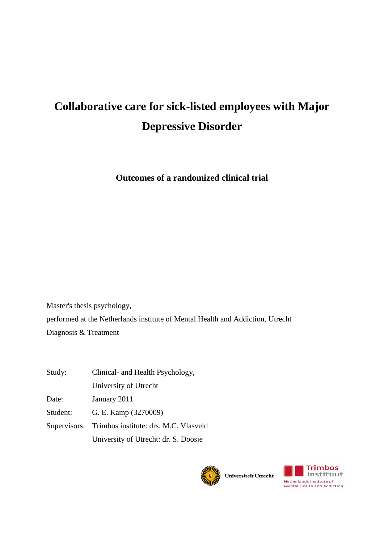# **Collaborative care for sick-listed employees with Major Depressive Disorder**

**Outcomes of a randomized clinical trial**

Master's thesis psychology, performed at the Netherlands institute of Mental Health and Addiction, Utrecht Diagnosis & Treatment

| Study:   | Clinical- and Health Psychology,                   |
|----------|----------------------------------------------------|
|          | University of Utrecht                              |
| Date:    | January 2011                                       |
| Student: | G. E. Kamp (3270009)                               |
|          | Supervisors: Trimbos institute: drs. M.C. Vlasveld |
|          | University of Utrecht: dr. S. Doosje               |



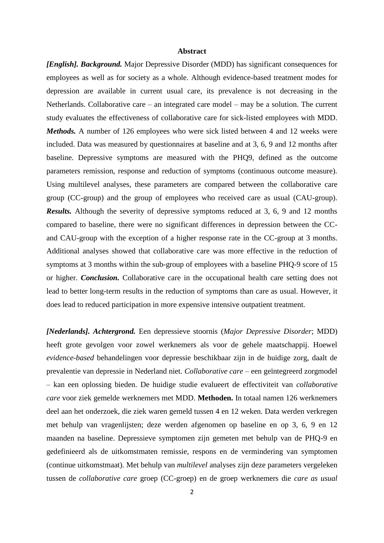## **Abstract**

*[English]. Background.* Major Depressive Disorder (MDD) has significant consequences for employees as well as for society as a whole. Although evidence-based treatment modes for depression are available in current usual care, its prevalence is not decreasing in the Netherlands. Collaborative care – an integrated care model – may be a solution. The current study evaluates the effectiveness of collaborative care for sick-listed employees with MDD. *Methods.* A number of 126 employees who were sick listed between 4 and 12 weeks were included. Data was measured by questionnaires at baseline and at 3, 6, 9 and 12 months after baseline. Depressive symptoms are measured with the PHQ9, defined as the outcome parameters remission, response and reduction of symptoms (continuous outcome measure). Using multilevel analyses, these parameters are compared between the collaborative care group (CC-group) and the group of employees who received care as usual (CAU-group). *Results.* Although the severity of depressive symptoms reduced at 3, 6, 9 and 12 months compared to baseline, there were no significant differences in depression between the CCand CAU-group with the exception of a higher response rate in the CC-group at 3 months. Additional analyses showed that collaborative care was more effective in the reduction of symptoms at 3 months within the sub-group of employees with a baseline PHQ-9 score of 15 or higher. *Conclusion.* Collaborative care in the occupational health care setting does not lead to better long-term results in the reduction of symptoms than care as usual. However, it does lead to reduced participation in more expensive intensive outpatient treatment.

*[Nederlands]. Achtergrond.* Een depressieve stoornis (*Major Depressive Disorder*; MDD) heeft grote gevolgen voor zowel werknemers als voor de gehele maatschappij. Hoewel *evidence-based* behandelingen voor depressie beschikbaar zijn in de huidige zorg, daalt de prevalentie van depressie in Nederland niet. *Collaborative care* – een geïntegreerd zorgmodel – kan een oplossing bieden. De huidige studie evalueert de effectiviteit van *collaborative care* voor ziek gemelde werknemers met MDD. **Methoden.** In totaal namen 126 werknemers deel aan het onderzoek, die ziek waren gemeld tussen 4 en 12 weken. Data werden verkregen met behulp van vragenlijsten; deze werden afgenomen op baseline en op 3, 6, 9 en 12 maanden na baseline. Depressieve symptomen zijn gemeten met behulp van de PHQ-9 en gedefinieerd als de uitkomstmaten remissie, respons en de vermindering van symptomen (continue uitkomstmaat). Met behulp van *multilevel* analyses zijn deze parameters vergeleken tussen de *collaborative care* groep (CC-groep) en de groep werknemers die *care as usual*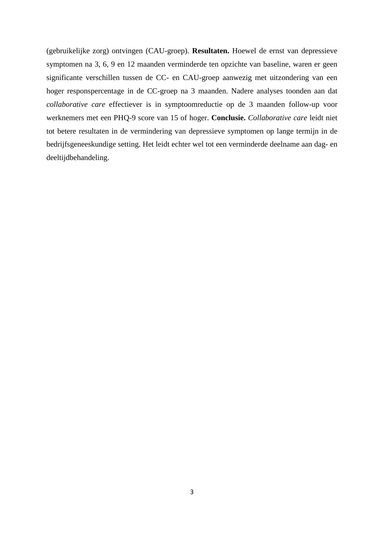(gebruikelijke zorg) ontvingen (CAU-groep). **Resultaten.** Hoewel de ernst van depressieve symptomen na 3, 6, 9 en 12 maanden verminderde ten opzichte van baseline, waren er geen significante verschillen tussen de CC- en CAU-groep aanwezig met uitzondering van een hoger responspercentage in de CC-groep na 3 maanden. Nadere analyses toonden aan dat *collaborative care* effectiever is in symptoomreductie op de 3 maanden follow-up voor werknemers met een PHQ-9 score van 15 of hoger. **Conclusie.** *Collaborative care* leidt niet tot betere resultaten in de vermindering van depressieve symptomen op lange termijn in de bedrijfsgeneeskundige setting. Het leidt echter wel tot een verminderde deelname aan dag- en deeltijdbehandeling.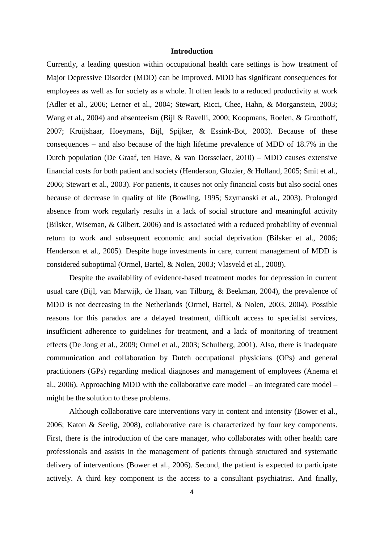## **Introduction**

Currently, a leading question within occupational health care settings is how treatment of Major Depressive Disorder (MDD) can be improved. MDD has significant consequences for employees as well as for society as a whole. It often leads to a reduced productivity at work (Adler et al., 2006; Lerner et al., 2004; Stewart, Ricci, Chee, Hahn, & Morganstein, 2003; Wang et al., 2004) and absenteeism (Bijl & Ravelli, 2000; Koopmans, Roelen, & Groothoff, 2007; Kruijshaar, Hoeymans, Bijl, Spijker, & Essink-Bot, 2003). Because of these consequences – and also because of the high lifetime prevalence of MDD of 18.7% in the Dutch population (De Graaf, ten Have, & van Dorsselaer, 2010) – MDD causes extensive financial costs for both patient and society (Henderson, Glozier, & Holland, 2005; Smit et al., 2006; Stewart et al., 2003). For patients, it causes not only financial costs but also social ones because of decrease in quality of life (Bowling, 1995; Szymanski et al., 2003). Prolonged absence from work regularly results in a lack of social structure and meaningful activity (Bilsker, Wiseman, & Gilbert, 2006) and is associated with a reduced probability of eventual return to work and subsequent economic and social deprivation (Bilsker et al., 2006; Henderson et al., 2005). Despite huge investments in care, current management of MDD is considered suboptimal (Ormel, Bartel, & Nolen, 2003; Vlasveld et al., 2008).

Despite the availability of evidence-based treatment modes for depression in current usual care (Bijl, van Marwijk, de Haan, van Tilburg, & Beekman, 2004), the prevalence of MDD is not decreasing in the Netherlands (Ormel, Bartel, & Nolen, 2003, 2004). Possible reasons for this paradox are a delayed treatment, difficult access to specialist services, insufficient adherence to guidelines for treatment, and a lack of monitoring of treatment effects (De Jong et al., 2009; Ormel et al., 2003; Schulberg, 2001). Also, there is inadequate communication and collaboration by Dutch occupational physicians (OPs) and general practitioners (GPs) regarding medical diagnoses and management of employees (Anema et al., 2006). Approaching MDD with the collaborative care model – an integrated care model – might be the solution to these problems.

Although collaborative care interventions vary in content and intensity (Bower et al., 2006; Katon & Seelig, 2008), collaborative care is characterized by four key components. First, there is the introduction of the care manager, who collaborates with other health care professionals and assists in the management of patients through structured and systematic delivery of interventions (Bower et al., 2006). Second, the patient is expected to participate actively. A third key component is the access to a consultant psychiatrist. And finally,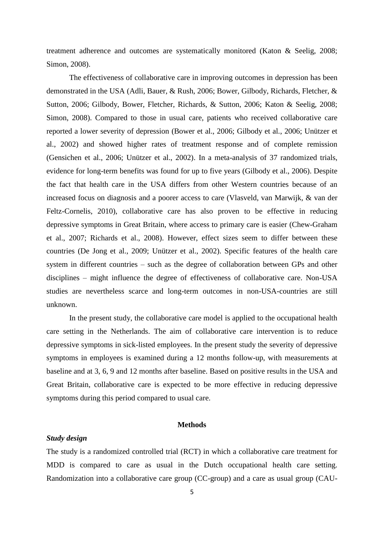treatment adherence and outcomes are systematically monitored (Katon & Seelig, 2008; Simon, 2008).

The effectiveness of collaborative care in improving outcomes in depression has been demonstrated in the USA (Adli, Bauer, & Rush, 2006; Bower, Gilbody, Richards, Fletcher, & Sutton, 2006; Gilbody, Bower, Fletcher, Richards, & Sutton, 2006; Katon & Seelig, 2008; Simon, 2008). Compared to those in usual care, patients who received collaborative care reported a lower severity of depression (Bower et al., 2006; Gilbody et al., 2006; Unützer et al., 2002) and showed higher rates of treatment response and of complete remission (Gensichen et al., 2006; Unützer et al., 2002). In a meta-analysis of 37 randomized trials, evidence for long-term benefits was found for up to five years (Gilbody et al., 2006). Despite the fact that health care in the USA differs from other Western countries because of an increased focus on diagnosis and a poorer access to care (Vlasveld, van Marwijk, & van der Feltz-Cornelis, 2010), collaborative care has also proven to be effective in reducing depressive symptoms in Great Britain, where access to primary care is easier (Chew-Graham et al., 2007; Richards et al., 2008). However, effect sizes seem to differ between these countries (De Jong et al., 2009; Unützer et al., 2002). Specific features of the health care system in different countries – such as the degree of collaboration between GPs and other disciplines – might influence the degree of effectiveness of collaborative care. Non-USA studies are nevertheless scarce and long-term outcomes in non-USA-countries are still unknown.

In the present study, the collaborative care model is applied to the occupational health care setting in the Netherlands. The aim of collaborative care intervention is to reduce depressive symptoms in sick-listed employees. In the present study the severity of depressive symptoms in employees is examined during a 12 months follow-up, with measurements at baseline and at 3, 6, 9 and 12 months after baseline. Based on positive results in the USA and Great Britain, collaborative care is expected to be more effective in reducing depressive symptoms during this period compared to usual care.

#### **Methods**

## *Study design*

The study is a randomized controlled trial (RCT) in which a collaborative care treatment for MDD is compared to care as usual in the Dutch occupational health care setting. Randomization into a collaborative care group (CC-group) and a care as usual group (CAU-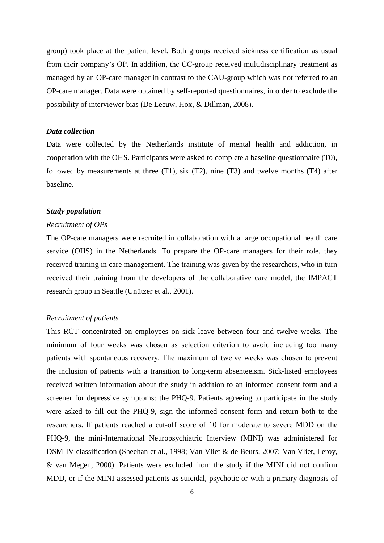group) took place at the patient level. Both groups received sickness certification as usual from their company's OP. In addition, the CC-group received multidisciplinary treatment as managed by an OP-care manager in contrast to the CAU-group which was not referred to an OP-care manager. Data were obtained by self-reported questionnaires, in order to exclude the possibility of interviewer bias (De Leeuw, Hox, & Dillman, 2008).

#### *Data collection*

Data were collected by the Netherlands institute of mental health and addiction, in cooperation with the OHS. Participants were asked to complete a baseline questionnaire (T0), followed by measurements at three (T1), six (T2), nine (T3) and twelve months (T4) after baseline.

#### *Study population*

#### *Recruitment of OPs*

The OP-care managers were recruited in collaboration with a large occupational health care service (OHS) in the Netherlands. To prepare the OP-care managers for their role, they received training in care management. The training was given by the researchers, who in turn received their training from the developers of the collaborative care model, the IMPACT research group in Seattle (Unützer et al., 2001).

### *Recruitment of patients*

This RCT concentrated on employees on sick leave between four and twelve weeks. The minimum of four weeks was chosen as selection criterion to avoid including too many patients with spontaneous recovery. The maximum of twelve weeks was chosen to prevent the inclusion of patients with a transition to long-term absenteeism. Sick-listed employees received written information about the study in addition to an informed consent form and a screener for depressive symptoms: the PHQ-9. Patients agreeing to participate in the study were asked to fill out the PHQ-9, sign the informed consent form and return both to the researchers. If patients reached a cut-off score of 10 for moderate to severe MDD on the PHQ-9, the mini-International Neuropsychiatric Interview (MINI) was administered for DSM-IV classification (Sheehan et al., 1998; Van Vliet & de Beurs, 2007; Van Vliet, Leroy, & van Megen, 2000). Patients were excluded from the study if the MINI did not confirm MDD, or if the MINI assessed patients as suicidal, psychotic or with a primary diagnosis of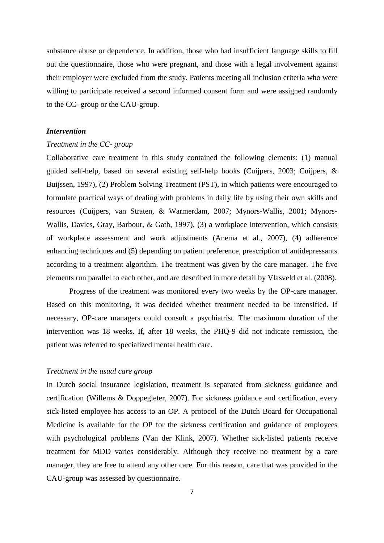substance abuse or dependence. In addition, those who had insufficient language skills to fill out the questionnaire, those who were pregnant, and those with a legal involvement against their employer were excluded from the study. Patients meeting all inclusion criteria who were willing to participate received a second informed consent form and were assigned randomly to the CC- group or the CAU-group.

## *Intervention*

## *Treatment in the CC- group*

Collaborative care treatment in this study contained the following elements: (1) manual guided self-help, based on several existing self-help books (Cuijpers, 2003; Cuijpers, & Buijssen, 1997), (2) Problem Solving Treatment (PST), in which patients were encouraged to formulate practical ways of dealing with problems in daily life by using their own skills and resources (Cuijpers, van Straten, & Warmerdam, 2007; Mynors-Wallis, 2001; Mynors-Wallis, Davies, Gray, Barbour, & Gath, 1997), (3) a workplace intervention, which consists of workplace assessment and work adjustments (Anema et al., 2007), (4) adherence enhancing techniques and (5) depending on patient preference, prescription of antidepressants according to a treatment algorithm. The treatment was given by the care manager. The five elements run parallel to each other, and are described in more detail by Vlasveld et al. (2008).

Progress of the treatment was monitored every two weeks by the OP-care manager. Based on this monitoring, it was decided whether treatment needed to be intensified. If necessary, OP-care managers could consult a psychiatrist. The maximum duration of the intervention was 18 weeks. If, after 18 weeks, the PHQ-9 did not indicate remission, the patient was referred to specialized mental health care.

## *Treatment in the usual care group*

In Dutch social insurance legislation, treatment is separated from sickness guidance and certification (Willems & Doppegieter, 2007). For sickness guidance and certification, every sick-listed employee has access to an OP. A protocol of the Dutch Board for Occupational Medicine is available for the OP for the sickness certification and guidance of employees with psychological problems (Van der Klink, 2007). Whether sick-listed patients receive treatment for MDD varies considerably. Although they receive no treatment by a care manager, they are free to attend any other care. For this reason, care that was provided in the CAU-group was assessed by questionnaire.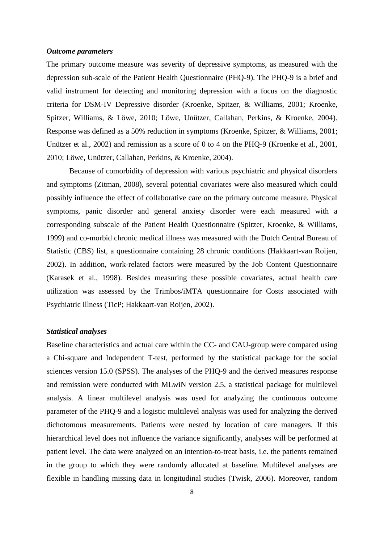## *Outcome parameters*

The primary outcome measure was severity of depressive symptoms, as measured with the depression sub-scale of the Patient Health Questionnaire (PHQ-9). The PHQ-9 is a brief and valid instrument for detecting and monitoring depression with a focus on the diagnostic criteria for DSM-IV Depressive disorder (Kroenke, Spitzer, & Williams, 2001; Kroenke, Spitzer, Williams, & Löwe, 2010; Löwe, Unützer, Callahan, Perkins, & Kroenke, 2004). Response was defined as a 50% reduction in symptoms (Kroenke, Spitzer, & Williams, 2001; Unützer et al., 2002) and remission as a score of 0 to 4 on the PHQ-9 (Kroenke et al., 2001, 2010; Löwe, Unützer, Callahan, Perkins, & Kroenke, 2004).

Because of comorbidity of depression with various psychiatric and physical disorders and symptoms (Zitman, 2008), several potential covariates were also measured which could possibly influence the effect of collaborative care on the primary outcome measure. Physical symptoms, panic disorder and general anxiety disorder were each measured with a corresponding subscale of the Patient Health Questionnaire (Spitzer, Kroenke, & Williams, 1999) and co-morbid chronic medical illness was measured with the Dutch Central Bureau of Statistic (CBS) list, a questionnaire containing 28 chronic conditions (Hakkaart-van Roijen, 2002). In addition, work-related factors were measured by the Job Content Questionnaire (Karasek et al., 1998). Besides measuring these possible covariates, actual health care utilization was assessed by the Trimbos/iMTA questionnaire for Costs associated with Psychiatric illness (TicP; Hakkaart-van Roijen, 2002).

# *Statistical analyses*

Baseline characteristics and actual care within the CC- and CAU-group were compared using a Chi-square and Independent T-test, performed by the statistical package for the social sciences version 15.0 (SPSS). The analyses of the PHQ-9 and the derived measures response and remission were conducted with MLwiN version 2.5, a statistical package for multilevel analysis. A linear multilevel analysis was used for analyzing the continuous outcome parameter of the PHQ-9 and a logistic multilevel analysis was used for analyzing the derived dichotomous measurements. Patients were nested by location of care managers. If this hierarchical level does not influence the variance significantly, analyses will be performed at patient level. The data were analyzed on an intention-to-treat basis, i.e. the patients remained in the group to which they were randomly allocated at baseline. Multilevel analyses are flexible in handling missing data in longitudinal studies (Twisk, 2006). Moreover, random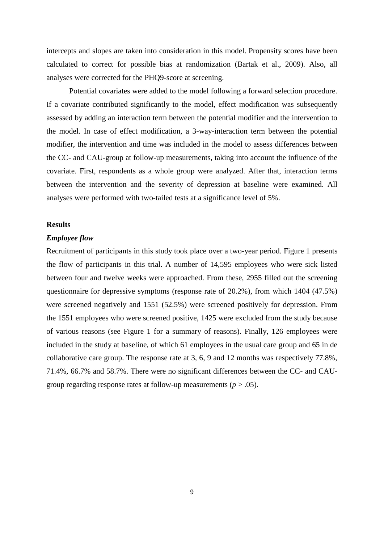intercepts and slopes are taken into consideration in this model. Propensity scores have been calculated to correct for possible bias at randomization (Bartak et al., 2009). Also, all analyses were corrected for the PHQ9-score at screening.

Potential covariates were added to the model following a forward selection procedure. If a covariate contributed significantly to the model, effect modification was subsequently assessed by adding an interaction term between the potential modifier and the intervention to the model. In case of effect modification, a 3-way-interaction term between the potential modifier, the intervention and time was included in the model to assess differences between the CC- and CAU-group at follow-up measurements, taking into account the influence of the covariate. First, respondents as a whole group were analyzed. After that, interaction terms between the intervention and the severity of depression at baseline were examined. All analyses were performed with two-tailed tests at a significance level of 5%.

#### **Results**

## *Employee flow*

Recruitment of participants in this study took place over a two-year period. Figure 1 presents the flow of participants in this trial. A number of 14,595 employees who were sick listed between four and twelve weeks were approached. From these, 2955 filled out the screening questionnaire for depressive symptoms (response rate of 20.2%), from which 1404 (47.5%) were screened negatively and 1551 (52.5%) were screened positively for depression. From the 1551 employees who were screened positive, 1425 were excluded from the study because of various reasons (see Figure 1 for a summary of reasons). Finally, 126 employees were included in the study at baseline, of which 61 employees in the usual care group and 65 in de collaborative care group. The response rate at 3, 6, 9 and 12 months was respectively 77.8%, 71.4%, 66.7% and 58.7%. There were no significant differences between the CC- and CAUgroup regarding response rates at follow-up measurements (*p* > .05).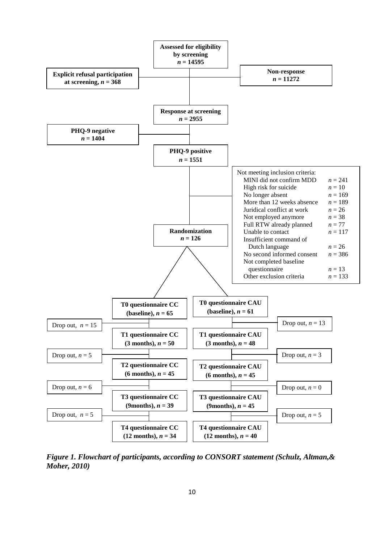

*Figure 1. Flowchart of participants, according to CONSORT statement (Schulz, Altman,& Moher, 2010)*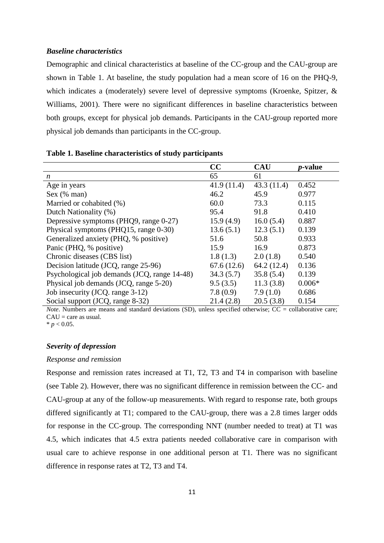## *Baseline characteristics*

Demographic and clinical characteristics at baseline of the CC-group and the CAU-group are shown in Table 1. At baseline, the study population had a mean score of 16 on the PHQ-9, which indicates a (moderately) severe level of depressive symptoms (Kroenke, Spitzer, & Williams, 2001). There were no significant differences in baseline characteristics between both groups, except for physical job demands. Participants in the CAU-group reported more physical job demands than participants in the CC-group.

| Table 1. Baseline characteristics of study participants |  |  |  |
|---------------------------------------------------------|--|--|--|
|---------------------------------------------------------|--|--|--|

|                                              | CC         | <b>CAU</b> | <i>p</i> -value |
|----------------------------------------------|------------|------------|-----------------|
| $\boldsymbol{n}$                             | 65         | 61         |                 |
| Age in years                                 | 41.9(11.4) | 43.3(11.4) | 0.452           |
| Sex (% man)                                  | 46.2       | 45.9       | 0.977           |
| Married or cohabited (%)                     | 60.0       | 73.3       | 0.115           |
| Dutch Nationality (%)                        | 95.4       | 91.8       | 0.410           |
| Depressive symptoms (PHQ9, range 0-27)       | 15.9(4.9)  | 16.0(5.4)  | 0.887           |
| Physical symptoms (PHQ15, range 0-30)        | 13.6(5.1)  | 12.3(5.1)  | 0.139           |
| Generalized anxiety (PHQ, % positive)        | 51.6       | 50.8       | 0.933           |
| Panic (PHQ, % positive)                      | 15.9       | 16.9       | 0.873           |
| Chronic diseases (CBS list)                  | 1.8(1.3)   | 2.0(1.8)   | 0.540           |
| Decision latitude (JCQ, range 25-96)         | 67.6(12.6) | 64.2(12.4) | 0.136           |
| Psychological job demands (JCQ, range 14-48) | 34.3(5.7)  | 35.8(5.4)  | 0.139           |
| Physical job demands (JCQ, range 5-20)       | 9.5(3.5)   | 11.3(3.8)  | $0.006*$        |
| Job insecurity (JCQ. range 3-12)             | 7.8(0.9)   | 7.9(1.0)   | 0.686           |
| Social support (JCQ, range 8-32)             | 21.4(2.8)  | 20.5(3.8)  | 0.154           |

*Note*. Numbers are means and standard deviations (SD), unless specified otherwise; CC = collaborative care;  $CAU = care$  as usual.

 $* p < 0.05$ .

# *Severity of depression*

#### *Response and remission*

Response and remission rates increased at T1, T2, T3 and T4 in comparison with baseline (see Table 2). However, there was no significant difference in remission between the CC- and CAU-group at any of the follow-up measurements. With regard to response rate, both groups differed significantly at T1; compared to the CAU-group, there was a 2.8 times larger odds for response in the CC-group. The corresponding NNT (number needed to treat) at T1 was 4.5, which indicates that 4.5 extra patients needed collaborative care in comparison with usual care to achieve response in one additional person at T1. There was no significant difference in response rates at T2, T3 and T4.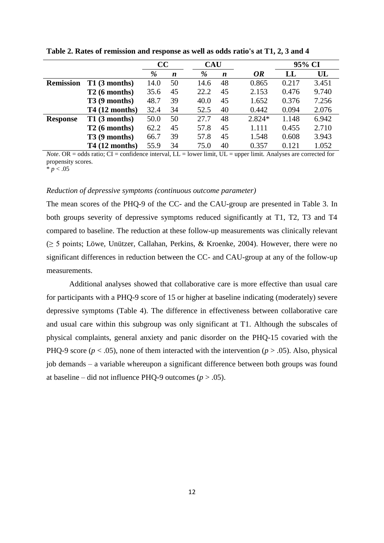|                  |                 | cc   |                  | <b>CAU</b> |                  |           | 95% CI |       |
|------------------|-----------------|------|------------------|------------|------------------|-----------|--------|-------|
|                  |                 | %    | $\boldsymbol{n}$ | %          | $\boldsymbol{n}$ | <b>OR</b> | LL     | UL    |
| <b>Remission</b> | T1(3 months)    | 14.0 | 50               | 14.6       | 48               | 0.865     | 0.217  | 3.451 |
|                  | T2(6 months)    | 35.6 | 45               | 22.2       | 45               | 2.153     | 0.476  | 9.740 |
|                  | $T3(9$ months)  | 48.7 | 39               | 40.0       | 45               | 1.652     | 0.376  | 7.256 |
|                  | $T4(12$ months) | 32.4 | 34               | 52.5       | 40               | 0.442     | 0.094  | 2.076 |
| <b>Response</b>  | T1(3 months)    | 50.0 | 50               | 27.7       | 48               | 2.824*    | 1.148  | 6.942 |
|                  | T2(6 months)    | 62.2 | 45               | 57.8       | 45               | 1.111     | 0.455  | 2.710 |
|                  | $T3(9$ months)  | 66.7 | 39               | 57.8       | 45               | 1.548     | 0.608  | 3.943 |
|                  | $T4(12$ months) | 55.9 | 34               | 75.0       | 40               | 0.357     | 0.121  | 1.052 |

**Table 2. Rates of remission and response as well as odds ratio's at T1, 2, 3 and 4**

*Note*. OR = odds ratio; CI = confidence interval, LL = lower limit, UL = upper limit. Analyses are corrected for propensity scores.

 $* p < .05$ 

# *Reduction of depressive symptoms (continuous outcome parameter)*

The mean scores of the PHQ-9 of the CC- and the CAU-group are presented in Table 3. In both groups severity of depressive symptoms reduced significantly at T1, T2, T3 and T4 compared to baseline. The reduction at these follow-up measurements was clinically relevant (≥ 5 points; Löwe, Unützer, Callahan, Perkins, & Kroenke, 2004). However, there were no significant differences in reduction between the CC- and CAU-group at any of the follow-up measurements.

Additional analyses showed that collaborative care is more effective than usual care for participants with a PHQ-9 score of 15 or higher at baseline indicating (moderately) severe depressive symptoms (Table 4). The difference in effectiveness between collaborative care and usual care within this subgroup was only significant at T1. Although the subscales of physical complaints, general anxiety and panic disorder on the PHQ-15 covaried with the PHQ-9 score ( $p < .05$ ), none of them interacted with the intervention ( $p > .05$ ). Also, physical job demands – a variable whereupon a significant difference between both groups was found at baseline – did not influence PHQ-9 outcomes  $(p > .05)$ .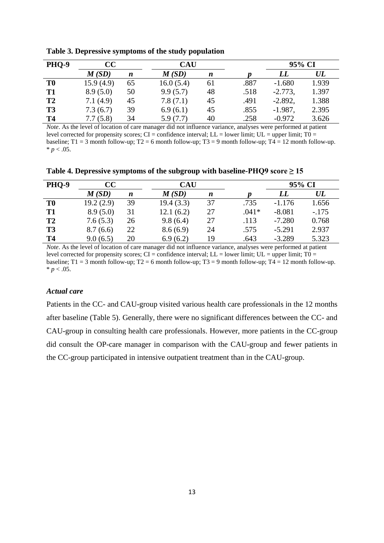| <b>PHO-9</b> | cc        |                  |           | <b>CAU</b> |      | 95% CI    |       |
|--------------|-----------|------------------|-----------|------------|------|-----------|-------|
|              | M(SD)     | $\boldsymbol{n}$ | M(SD)     | n          |      | LL        | UL    |
| T0           | 15.9(4.9) | 65               | 16.0(5.4) | 61         | .887 | $-1.680$  | 1.939 |
| <b>T1</b>    | 8.9(5.0)  | 50               | 9.9(5.7)  | 48         | .518 | $-2.773,$ | 1.397 |
| T2           | 7.1(4.9)  | 45               | 7.8(7.1)  | 45         | .491 | $-2.892,$ | 1.388 |
| <b>T3</b>    | 7.3(6.7)  | 39               | 6.9(6.1)  | 45         | .855 | $-1.987,$ | 2.395 |
| <b>T4</b>    | 7.7(5.8)  | 34               | 5.9(7.7)  | 40         | .258 | $-0.972$  | 3.626 |

**Table 3. Depressive symptoms of the study population**

*Note*. As the level of location of care manager did not influence variance, analyses were performed at patient level corrected for propensity scores; CI = confidence interval; LL = lower limit; UL = upper limit;  $T0 =$ baseline;  $T1 = 3$  month follow-up;  $T2 = 6$  month follow-up;  $T3 = 9$  month follow-up;  $T4 = 12$  month follow-up.  $* p < .05$ .

Table 4. Depressive symptoms of the subgroup with baseline-PHQ9 score  $\geq$  15

| <b>PHQ-9</b>   | CC        |    | CAU       |    |         |          | 95% CI    |
|----------------|-----------|----|-----------|----|---------|----------|-----------|
|                | M(SD)     | n  | M(SD)     | n  |         | LL       | $\bm{UL}$ |
| T0             | 19.2(2.9) | 39 | 19.4(3.3) | 37 | .735    | $-1.176$ | 1.656     |
| T <sub>1</sub> | 8.9(5.0)  | 31 | 12.1(6.2) | 27 | $.041*$ | $-8.081$ | $-.175$   |
| T2             | 7.6(5.3)  | 26 | 9.8(6.4)  | 27 | .113    | $-7.280$ | 0.768     |
| <b>T3</b>      | 8.7(6.6)  | 22 | 8.6(6.9)  | 24 | .575    | $-5.291$ | 2.937     |
| <b>T4</b>      | 9.0(6.5)  | 20 | 6.9(6.2)  | 19 | .643    | $-3.289$ | 5.323     |

*Note*. As the level of location of care manager did not influence variance, analyses were performed at patient level corrected for propensity scores; CI = confidence interval; LL = lower limit; UL = upper limit; T0 = baseline;  $T1 = 3$  month follow-up;  $T2 = 6$  month follow-up;  $T3 = 9$  month follow-up;  $T4 = 12$  month follow-up.  $* p < .05$ .

## *Actual care*

Patients in the CC- and CAU-group visited various health care professionals in the 12 months after baseline (Table 5). Generally, there were no significant differences between the CC- and CAU-group in consulting health care professionals. However, more patients in the CC-group did consult the OP-care manager in comparison with the CAU-group and fewer patients in the CC-group participated in intensive outpatient treatment than in the CAU-group.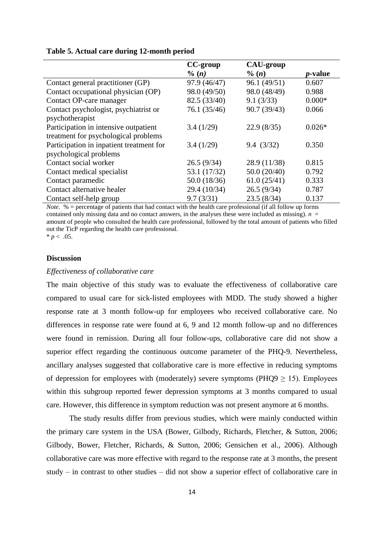|                                          | CC-group          | <b>CAU-group</b> |                 |
|------------------------------------------|-------------------|------------------|-----------------|
|                                          | $\frac{6}{10}(n)$ | $\%$ (n)         | <i>p</i> -value |
| Contact general practitioner (GP)        | 97.9 (46/47)      | 96.1 (49/51)     | 0.607           |
| Contact occupational physician (OP)      | 98.0 (49/50)      | 98.0 (48/49)     | 0.988           |
| Contact OP-care manager                  | 82.5 (33/40)      | 9.1(3/33)        | $0.000*$        |
| Contact psychologist, psychiatrist or    | 76.1 (35/46)      | 90.7 (39/43)     | 0.066           |
| psychotherapist                          |                   |                  |                 |
| Participation in intensive outpatient    | 3.4(1/29)         | 22.9(8/35)       | $0.026*$        |
| treatment for psychological problems     |                   |                  |                 |
| Participation in inpatient treatment for | 3.4(1/29)         | 9.4(3/32)        | 0.350           |
| psychological problems                   |                   |                  |                 |
| Contact social worker                    | 26.5(9/34)        | 28.9 (11/38)     | 0.815           |
| Contact medical specialist               | 53.1 (17/32)      | 50.0(20/40)      | 0.792           |
| Contact paramedic                        | 50.0 (18/36)      | 61.0(25/41)      | 0.333           |
| Contact alternative healer               | 29.4 (10/34)      | 26.5(9/34)       | 0.787           |
| Contact self-help group                  | 9.7(3/31)         | 23.5(8/34)       | 0.137           |

#### **Table 5. Actual care during 12-month period**

*Note*. % = percentage of patients that had contact with the health care professional (if all follow up forms contained only missing data and no contact answers, in the analyses these were included as missing).  $n =$ amount of people who consulted the health care professional, followed by the total amount of patients who filled out the TicP regarding the health care professional.  $* p < .05.$ 

# **Discussion**

# *Effectiveness of collaborative care*

The main objective of this study was to evaluate the effectiveness of collaborative care compared to usual care for sick-listed employees with MDD. The study showed a higher response rate at 3 month follow-up for employees who received collaborative care. No differences in response rate were found at 6, 9 and 12 month follow-up and no differences were found in remission. During all four follow-ups, collaborative care did not show a superior effect regarding the continuous outcome parameter of the PHQ-9. Nevertheless, ancillary analyses suggested that collaborative care is more effective in reducing symptoms of depression for employees with (moderately) severe symptoms (PHQ9  $\geq$  15). Employees within this subgroup reported fewer depression symptoms at 3 months compared to usual care. However, this difference in symptom reduction was not present anymore at 6 months.

The study results differ from previous studies, which were mainly conducted within the primary care system in the USA (Bower, Gilbody, Richards, Fletcher, & Sutton, 2006; Gilbody, Bower, Fletcher, Richards, & Sutton, 2006; Gensichen et al., 2006). Although collaborative care was more effective with regard to the response rate at 3 months, the present study – in contrast to other studies – did not show a superior effect of collaborative care in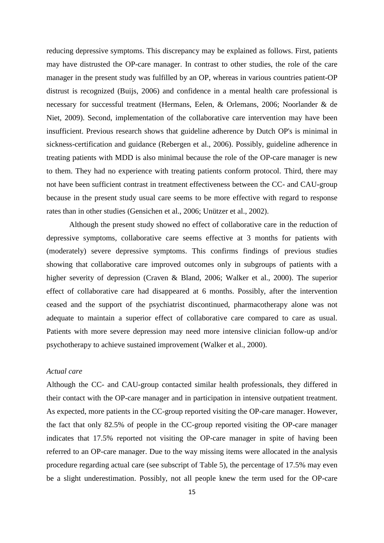reducing depressive symptoms. This discrepancy may be explained as follows. First, patients may have distrusted the OP-care manager. In contrast to other studies, the role of the care manager in the present study was fulfilled by an OP, whereas in various countries patient-OP distrust is recognized (Buijs, 2006) and confidence in a mental health care professional is necessary for successful treatment (Hermans, Eelen, & Orlemans, 2006; Noorlander & de Niet, 2009). Second, implementation of the collaborative care intervention may have been insufficient. Previous research shows that guideline adherence by Dutch OP's is minimal in sickness-certification and guidance (Rebergen et al., 2006). Possibly, guideline adherence in treating patients with MDD is also minimal because the role of the OP-care manager is new to them. They had no experience with treating patients conform protocol. Third, there may not have been sufficient contrast in treatment effectiveness between the CC- and CAU-group because in the present study usual care seems to be more effective with regard to response rates than in other studies (Gensichen et al., 2006; Unützer et al., 2002).

Although the present study showed no effect of collaborative care in the reduction of depressive symptoms, collaborative care seems effective at 3 months for patients with (moderately) severe depressive symptoms. This confirms findings of previous studies showing that collaborative care improved outcomes only in subgroups of patients with a higher severity of depression (Craven & Bland, 2006; Walker et al., 2000). The superior effect of collaborative care had disappeared at 6 months. Possibly, after the intervention ceased and the support of the psychiatrist discontinued, pharmacotherapy alone was not adequate to maintain a superior effect of collaborative care compared to care as usual. Patients with more severe depression may need more intensive clinician follow-up and/or psychotherapy to achieve sustained improvement (Walker et al., 2000).

## *Actual care*

Although the CC- and CAU-group contacted similar health professionals, they differed in their contact with the OP-care manager and in participation in intensive outpatient treatment. As expected, more patients in the CC-group reported visiting the OP-care manager. However, the fact that only 82.5% of people in the CC-group reported visiting the OP-care manager indicates that 17.5% reported not visiting the OP-care manager in spite of having been referred to an OP-care manager. Due to the way missing items were allocated in the analysis procedure regarding actual care (see subscript of Table 5), the percentage of 17.5% may even be a slight underestimation. Possibly, not all people knew the term used for the OP-care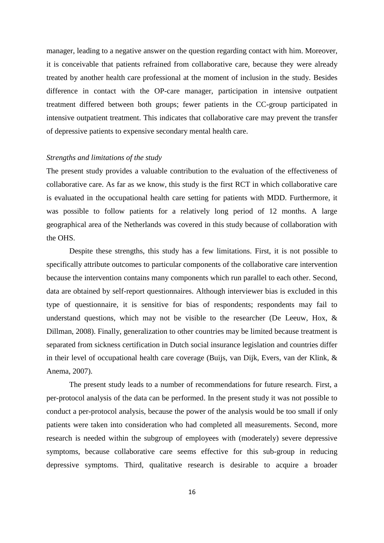manager, leading to a negative answer on the question regarding contact with him. Moreover, it is conceivable that patients refrained from collaborative care, because they were already treated by another health care professional at the moment of inclusion in the study. Besides difference in contact with the OP-care manager, participation in intensive outpatient treatment differed between both groups; fewer patients in the CC-group participated in intensive outpatient treatment. This indicates that collaborative care may prevent the transfer of depressive patients to expensive secondary mental health care.

## *Strengths and limitations of the study*

The present study provides a valuable contribution to the evaluation of the effectiveness of collaborative care. As far as we know, this study is the first RCT in which collaborative care is evaluated in the occupational health care setting for patients with MDD. Furthermore, it was possible to follow patients for a relatively long period of 12 months. A large geographical area of the Netherlands was covered in this study because of collaboration with the OHS.

Despite these strengths, this study has a few limitations. First, it is not possible to specifically attribute outcomes to particular components of the collaborative care intervention because the intervention contains many components which run parallel to each other. Second, data are obtained by self-report questionnaires. Although interviewer bias is excluded in this type of questionnaire, it is sensitive for bias of respondents; respondents may fail to understand questions, which may not be visible to the researcher (De Leeuw, Hox, & Dillman, 2008). Finally, generalization to other countries may be limited because treatment is separated from sickness certification in Dutch social insurance legislation and countries differ in their level of occupational health care coverage (Buijs, van Dijk, Evers, van der Klink, & Anema, 2007).

The present study leads to a number of recommendations for future research. First, a per-protocol analysis of the data can be performed. In the present study it was not possible to conduct a per-protocol analysis, because the power of the analysis would be too small if only patients were taken into consideration who had completed all measurements. Second, more research is needed within the subgroup of employees with (moderately) severe depressive symptoms, because collaborative care seems effective for this sub-group in reducing depressive symptoms. Third, qualitative research is desirable to acquire a broader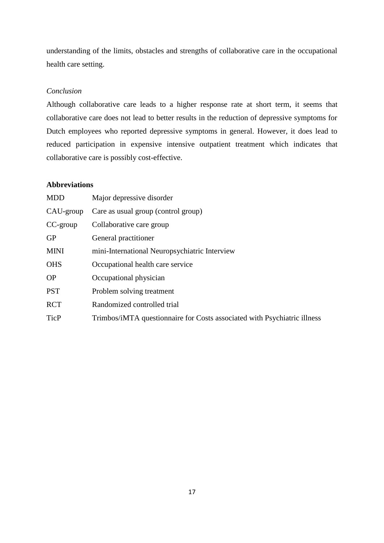understanding of the limits, obstacles and strengths of collaborative care in the occupational health care setting.

# *Conclusion*

Although collaborative care leads to a higher response rate at short term, it seems that collaborative care does not lead to better results in the reduction of depressive symptoms for Dutch employees who reported depressive symptoms in general. However, it does lead to reduced participation in expensive intensive outpatient treatment which indicates that collaborative care is possibly cost-effective.

# **Abbreviations**

| <b>MDD</b>  | Major depressive disorder                                                |
|-------------|--------------------------------------------------------------------------|
| CAU-group   | Care as usual group (control group)                                      |
| CC-group    | Collaborative care group                                                 |
| <b>GP</b>   | General practitioner                                                     |
| <b>MINI</b> | mini-International Neuropsychiatric Interview                            |
| <b>OHS</b>  | Occupational health care service                                         |
| <b>OP</b>   | Occupational physician                                                   |
| <b>PST</b>  | Problem solving treatment                                                |
| <b>RCT</b>  | Randomized controlled trial                                              |
| <b>TicP</b> | Trimbos/iMTA questionnaire for Costs associated with Psychiatric illness |
|             |                                                                          |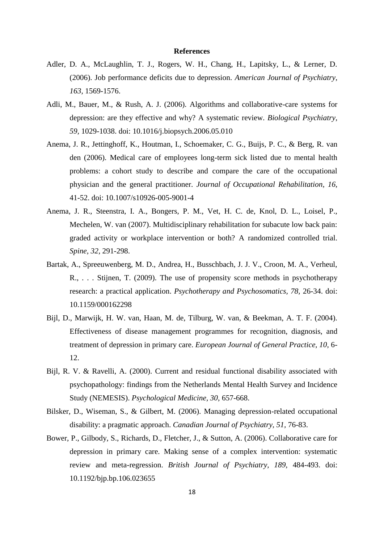### **References**

- Adler, D. A., McLaughlin, T. J., Rogers, W. H., Chang, H., Lapitsky, L., & Lerner, D. (2006). Job performance deficits due to depression. *American Journal of Psychiatry, 163,* 1569-1576.
- Adli, M., Bauer, M., & Rush, A. J. (2006). Algorithms and collaborative-care systems for depression: are they effective and why? A systematic review. *Biological Psychiatry, 59,* 1029-1038. doi: 10.1016/j.biopsych.2006.05.010
- Anema, J. R., Jettinghoff, K., Houtman, I., Schoemaker, C. G., Buijs, P. C., & Berg, R. van den (2006). Medical care of employees long-term sick listed due to mental health problems: a cohort study to describe and compare the care of the occupational physician and the general practitioner. *Journal of Occupational Rehabilitation, 16,* 41-52. doi: 10.1007/s10926-005-9001-4
- Anema, J. R., Steenstra, I. A., Bongers, P. M., Vet, H. C. de, Knol, D. L., Loisel, P., Mechelen, W. van (2007). Multidisciplinary rehabilitation for subacute low back pain: graded activity or workplace intervention or both? A randomized controlled trial. *Spine, 32,* 291-298.
- Bartak, A., Spreeuwenberg, M. D., Andrea, H., Busschbach, J. J. V., Croon, M. A., Verheul, R., . . . Stijnen, T. (2009). The use of propensity score methods in psychotherapy research: a practical application. *Psychotherapy and Psychosomatics, 78,* 26-34. doi: 10.1159/000162298
- Bijl, D., Marwijk, H. W. van, Haan, M. de, Tilburg, W. van, & Beekman, A. T. F. (2004). Effectiveness of disease management programmes for recognition, diagnosis, and treatment of depression in primary care. *European Journal of General Practice, 10,* 6- 12.
- Bijl, R. V. & Ravelli, A. (2000). Current and residual functional disability associated with psychopathology: findings from the Netherlands Mental Health Survey and Incidence Study (NEMESIS). *Psychological Medicine, 30,* 657-668.
- Bilsker, D., Wiseman, S., & Gilbert, M. (2006). Managing depression-related occupational disability: a pragmatic approach. *Canadian Journal of Psychiatry, 51,* 76-83.
- Bower, P., Gilbody, S., Richards, D., Fletcher, J., & Sutton, A. (2006). Collaborative care for depression in primary care. Making sense of a complex intervention: systematic review and meta-regression. *British Journal of Psychiatry, 189,* 484-493. doi: 10.1192/bjp.bp.106.023655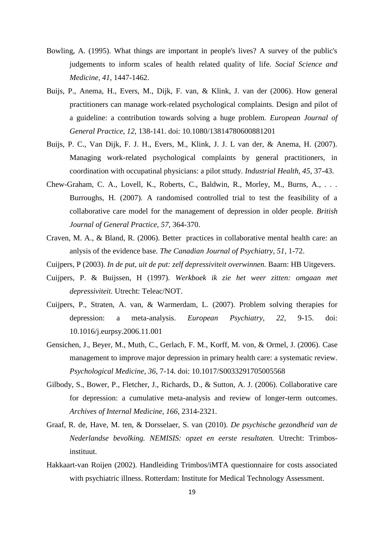- Bowling, A. (1995). What things are important in people's lives? A survey of the public's judgements to inform scales of health related quality of life. *Social Science and Medicine, 41,* 1447-1462.
- Buijs, P., Anema, H., Evers, M., Dijk, F. van, & Klink, J. van der (2006). How general practitioners can manage work-related psychological complaints. Design and pilot of a guideline: a contribution towards solving a huge problem. *European Journal of General Practice, 12,* 138-141. doi: 10.1080/13814780600881201
- Buijs, P. C., Van Dijk, F. J. H., Evers, M., Klink, J. J. L van der, & Anema, H. (2007). Managing work-related psychological complaints by general practitioners, in coordination with occupatinal physicians: a pilot sttudy. *Industrial Health, 45,* 37-43.
- Chew-Graham, C. A., Lovell, K., Roberts, C., Baldwin, R., Morley, M., Burns, A., . . . Burroughs, H. (2007). A randomised controlled trial to test the feasibility of a collaborative care model for the management of depression in older people. *British Journal of General Practice, 57,* 364-370.
- Craven, M. A., & Bland, R. (2006). Better practices in collaborative mental health care: an anlysis of the evidence base. *The Canadian Journal of Psychiatry, 51,* 1-72.
- Cuijpers, P (2003). *In de put, uit de put: zelf depressiviteit overwinnen.* Baarn: HB Uitgevers.
- Cuijpers, P. & Buijssen, H (1997). *Werkboek ik zie het weer zitten: omgaan met depressiviteit.* Utrecht: Teleac/NOT.
- Cuijpers, P., Straten, A. van, & Warmerdam, L. (2007). Problem solving therapies for depression: a meta-analysis. *European Psychiatry, 22,* 9-15. doi: 10.1016/j.eurpsy.2006.11.001
- Gensichen, J., Beyer, M., Muth, C., Gerlach, F. M., Korff, M. von, & Ormel, J. (2006). Case management to improve major depression in primary health care: a systematic review. *Psychological Medicine, 36,* 7-14. doi: 10.1017/S0033291705005568
- Gilbody, S., Bower, P., Fletcher, J., Richards, D., & Sutton, A. J. (2006). Collaborative care for depression: a cumulative meta-analysis and review of longer-term outcomes. *Archives of Internal Medicine, 166,* 2314-2321.
- Graaf, R. de, Have, M. ten, & Dorsselaer, S. van (2010). *De psychische gezondheid van de Nederlandse bevolking. NEMISIS: opzet en eerste resultaten.* Utrecht: Trimbosinstituut.
- Hakkaart-van Roijen (2002). Handleiding Trimbos/iMTA questionnaire for costs associated with psychiatric illness. Rotterdam: Institute for Medical Technology Assessment.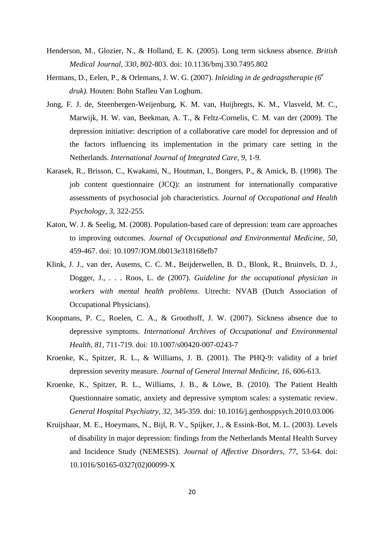- Henderson, M., Glozier, N., & Holland, E. K. (2005). Long term sickness absence. *British Medical Journal, 330,* 802-803. doi: 10.1136/bmj.330.7495.802
- Hermans, D., Eelen, P., & Orlemans, J. W. G. (2007). *Inleiding in de gedragstherapie (6<sup>e</sup> druk).* Houten: Bohn Stafleu Van Loghum.
- Jong, F. J. de, Steenbergen-Weijenburg, K. M. van, Huijbregts, K. M., Vlasveld, M. C., Marwijk, H. W. van, Beekman, A. T., & Feltz-Cornelis, C. M. van der (2009). The depression initiative: description of a collaborative care model for depression and of the factors influencing its implementation in the primary care setting in the Netherlands. *International Journal of Integrated Care, 9,* 1-9.
- Karasek, R., Brisson, C., Kwakami, N., Houtman, I., Bongers, P., & Amick, B. (1998). The job content questionnaire (JCQ): an instrument for internationally comparative assessments of psychosocial job characteristics. *Journal of Occupational and Health Psychology, 3,* 322-255.
- Katon, W. J. & Seelig, M. (2008). Population-based care of depression: team care approaches to improving outcomes. *Journal of Occupational and Environmental Medicine, 50,* 459-467. doi: 10.1097/JOM.0b013e318168efb7
- Klink, J. J., van der, Ausems, C. C. M., Beijderwellen, B. D., Blonk, R., Bruinvels, D. J., Dogger, J., . . . Roos, L. de (2007). *Guideline for the occupational physician in workers with mental health problems*. Utrecht: NVAB (Dutch Association of Occupational Physicians).
- Koopmans, P. C., Roelen, C. A., & Groothoff, J. W. (2007). Sickness absence due to depressive symptoms. *International Archives of Occupational and Environmental Health, 81,* 711-719. doi: 10.1007/s00420-007-0243-7
- Kroenke, K., Spitzer, R. L., & Williams, J. B. (2001). The PHQ-9: validity of a brief depression severity measure. *Journal of General Internal Medicine, 16,* 606-613.
- Kroenke, K., Spitzer, R. L., Williams, J. B., & Löwe, B. (2010). The Patient Health Questionnaire somatic, anxiety and depressive symptom scales: a systematic review. *General Hospital Psychiatry, 32,* 345-359. doi: 10.1016/j.genhosppsych.2010.03.006
- Kruijshaar, M. E., Hoeymans, N., Bijl, R. V., Spijker, J., & Essink-Bot, M. L. (2003). Levels of disability in major depression: findings from the Netherlands Mental Health Survey and Incidence Study (NEMESIS). *Journal of Affective Disorders, 77,* 53-64. doi: 10.1016/S0165-0327(02)00099-X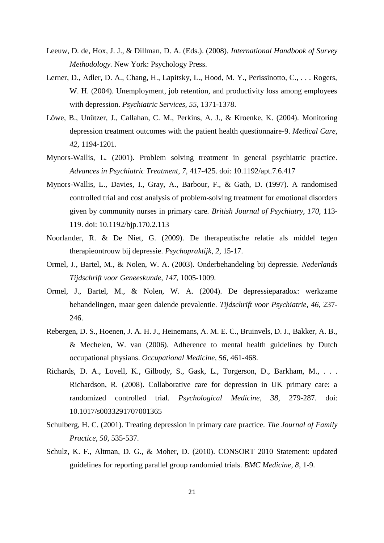- Leeuw, D. de, Hox, J. J., & Dillman, D. A. (Eds.). (2008). *International Handbook of Survey Methodology.* New York: Psychology Press.
- Lerner, D., Adler, D. A., Chang, H., Lapitsky, L., Hood, M. Y., Perissinotto, C., . . . Rogers, W. H. (2004). Unemployment, job retention, and productivity loss among employees with depression. *Psychiatric Services, 55,* 1371-1378.
- Löwe, B., Unützer, J., Callahan, C. M., Perkins, A. J., & Kroenke, K. (2004). Monitoring depression treatment outcomes with the patient health questionnaire-9. *Medical Care, 42,* 1194-1201.
- Mynors-Wallis, L. (2001). Problem solving treatment in general psychiatric practice. *Advances in Psychiatric Treatment, 7,* 417-425. doi: 10.1192/apt.7.6.417
- Mynors-Wallis, L., Davies, I., Gray, A., Barbour, F., & Gath, D. (1997). A randomised controlled trial and cost analysis of problem-solving treatment for emotional disorders given by community nurses in primary care. *British Journal of Psychiatry, 170,* 113- 119. doi: 10.1192/bjp.170.2.113
- Noorlander, R. & De Niet, G. (2009). De therapeutische relatie als middel tegen therapieontrouw bij depressie. *Psychopraktijk, 2,* 15-17.
- Ormel, J., Bartel, M., & Nolen, W. A. (2003). Onderbehandeling bij depressie. *Nederlands Tijdschrift voor Geneeskunde, 147,* 1005-1009.
- Ormel, J., Bartel, M., & Nolen, W. A. (2004). De depressieparadox: werkzame behandelingen, maar geen dalende prevalentie. *Tijdschrift voor Psychiatrie, 46,* 237- 246.
- Rebergen, D. S., Hoenen, J. A. H. J., Heinemans, A. M. E. C., Bruinvels, D. J., Bakker, A. B., & Mechelen, W. van (2006). Adherence to mental health guidelines by Dutch occupational physians. *Occupational Medicine, 56,* 461-468.
- Richards, D. A., Lovell, K., Gilbody, S., Gask, L., Torgerson, D., Barkham, M., . . . Richardson, R. (2008). Collaborative care for depression in UK primary care: a randomized controlled trial. *Psychological Medicine, 38,* 279-287. doi: 10.1017/s0033291707001365
- Schulberg, H. C. (2001). Treating depression in primary care practice. *The Journal of Family Practice, 50,* 535-537.
- Schulz, K. F., Altman, D. G., & Moher, D. (2010). CONSORT 2010 Statement: updated guidelines for reporting parallel group randomied trials. *BMC Medicine, 8,* 1-9.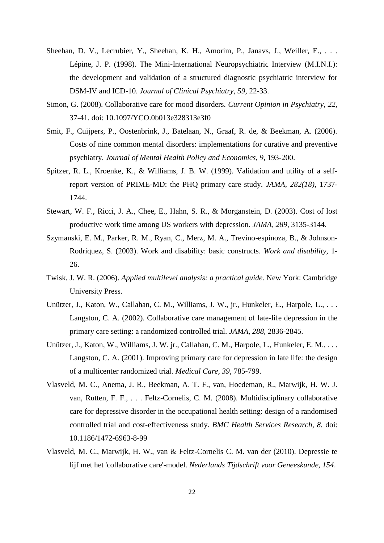- Sheehan, D. V., Lecrubier, Y., Sheehan, K. H., Amorim, P., Janavs, J., Weiller, E., ... Lépine, J. P. (1998). The Mini-International Neuropsychiatric Interview (M.I.N.I.): the development and validation of a structured diagnostic psychiatric interview for DSM-IV and ICD-10. *Journal of Clinical Psychiatry, 59,* 22-33.
- Simon, G. (2008). Collaborative care for mood disorders. *Current Opinion in Psychiatry, 22,* 37-41. doi: 10.1097/YCO.0b013e328313e3f0
- Smit, F., Cuijpers, P., Oostenbrink, J., Batelaan, N., Graaf, R. de, & Beekman, A. (2006). Costs of nine common mental disorders: implementations for curative and preventive psychiatry. *Journal of Mental Health Policy and Economics, 9,* 193-200.
- Spitzer, R. L., Kroenke, K., & Williams, J. B. W. (1999). Validation and utility of a selfreport version of PRIME-MD: the PHQ primary care study. *JAMA, 282(18),* 1737- 1744.
- Stewart, W. F., Ricci, J. A., Chee, E., Hahn, S. R., & Morganstein, D. (2003). Cost of lost productive work time among US workers with depression. *JAMA, 289,* 3135-3144.
- Szymanski, E. M., Parker, R. M., Ryan, C., Merz, M. A., Trevino-espinoza, B., & Johnson-Rodriquez, S. (2003). Work and disability: basic constructs. *Work and disability,* 1- 26.
- Twisk, J. W. R. (2006). *Applied multilevel analysis: a practical guide.* New York: Cambridge University Press.
- Unützer, J., Katon, W., Callahan, C. M., Williams, J. W., jr., Hunkeler, E., Harpole, L., ... Langston, C. A. (2002). Collaborative care management of late-life depression in the primary care setting: a randomized controlled trial. *JAMA, 288,* 2836-2845.
- Unützer, J., Katon, W., Williams, J. W. jr., Callahan, C. M., Harpole, L., Hunkeler, E. M., . . . Langston, C. A. (2001). Improving primary care for depression in late life: the design of a multicenter randomized trial. *Medical Care, 39,* 785-799.
- Vlasveld, M. C., Anema, J. R., Beekman, A. T. F., van, Hoedeman, R., Marwijk, H. W. J. van, Rutten, F. F., . . . Feltz-Cornelis, C. M. (2008). Multidisciplinary collaborative care for depressive disorder in the occupational health setting: design of a randomised controlled trial and cost-effectiveness study. *BMC Health Services Research, 8.* doi: 10.1186/1472-6963-8-99
- Vlasveld, M. C., Marwijk, H. W., van & Feltz-Cornelis C. M. van der (2010). Depressie te lijf met het 'collaborative care'-model. *Nederlands Tijdschrift voor Geneeskunde, 154*.